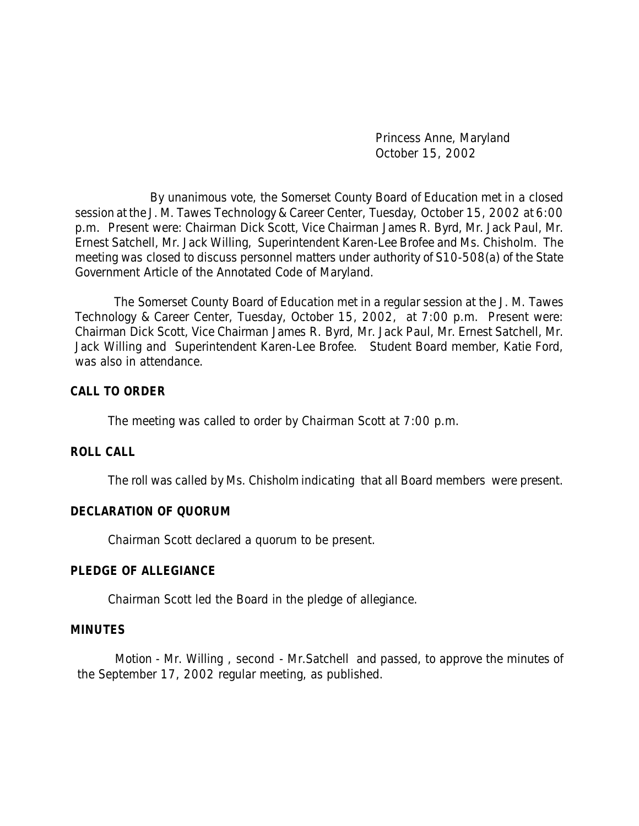Princess Anne, Maryland October 15, 2002

By unanimous vote, the Somerset County Board of Education met in a closed session at the J. M. Tawes Technology & Career Center, Tuesday, October 15, 2002 at 6:00 p.m. Present were: Chairman Dick Scott, Vice Chairman James R. Byrd, Mr. Jack Paul, Mr. Ernest Satchell, Mr. Jack Willing, Superintendent Karen-Lee Brofee and Ms. Chisholm. The meeting was closed to discuss personnel matters under authority of S10-508(a) of the State Government Article of the Annotated Code of Maryland.

 The Somerset County Board of Education met in a regular session at the J. M. Tawes Technology & Career Center, Tuesday, October 15, 2002, at 7:00 p.m. Present were: Chairman Dick Scott, Vice Chairman James R. Byrd, Mr. Jack Paul, Mr. Ernest Satchell, Mr. Jack Willing and Superintendent Karen-Lee Brofee. Student Board member, Katie Ford, was also in attendance.

#### **CALL TO ORDER**

The meeting was called to order by Chairman Scott at 7:00 p.m.

#### **ROLL CALL**

The roll was called by Ms. Chisholm indicating that all Board members were present.

#### **DECLARATION OF QUORUM**

Chairman Scott declared a quorum to be present.

#### **PLEDGE OF ALLEGIANCE**

Chairman Scott led the Board in the pledge of allegiance.

#### **MINUTES**

Motion - Mr. Willing , second - Mr.Satchell and passed, to approve the minutes of the September 17, 2002 regular meeting, as published.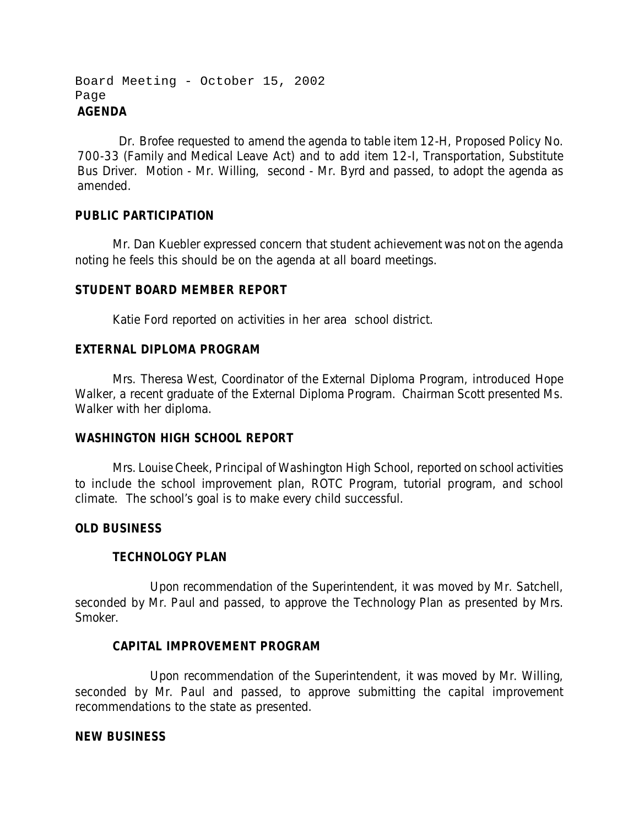### Board Meeting - October 15, 2002 Page **AGENDA**

 Dr. Brofee requested to amend the agenda to table item 12-H, Proposed Policy No. 700-33 (Family and Medical Leave Act) and to add item 12-I, Transportation, Substitute Bus Driver. Motion - Mr. Willing, second - Mr. Byrd and passed, to adopt the agenda as amended.

# **PUBLIC PARTICIPATION**

Mr. Dan Kuebler expressed concern that student achievement was not on the agenda noting he feels this should be on the agenda at all board meetings.

# **STUDENT BOARD MEMBER REPORT**

Katie Ford reported on activities in her area school district.

# **EXTERNAL DIPLOMA PROGRAM**

Mrs. Theresa West, Coordinator of the External Diploma Program, introduced Hope Walker, a recent graduate of the External Diploma Program. Chairman Scott presented Ms. Walker with her diploma.

### **WASHINGTON HIGH SCHOOL REPORT**

Mrs. Louise Cheek, Principal of Washington High School, reported on school activities to include the school improvement plan, ROTC Program, tutorial program, and school climate. The school's goal is to make every child successful.

### **OLD BUSINESS**

### **TECHNOLOGY PLAN**

Upon recommendation of the Superintendent, it was moved by Mr. Satchell, seconded by Mr. Paul and passed, to approve the Technology Plan as presented by Mrs. Smoker.

# **CAPITAL IMPROVEMENT PROGRAM**

Upon recommendation of the Superintendent, it was moved by Mr. Willing, seconded by Mr. Paul and passed, to approve submitting the capital improvement recommendations to the state as presented.

### **NEW BUSINESS**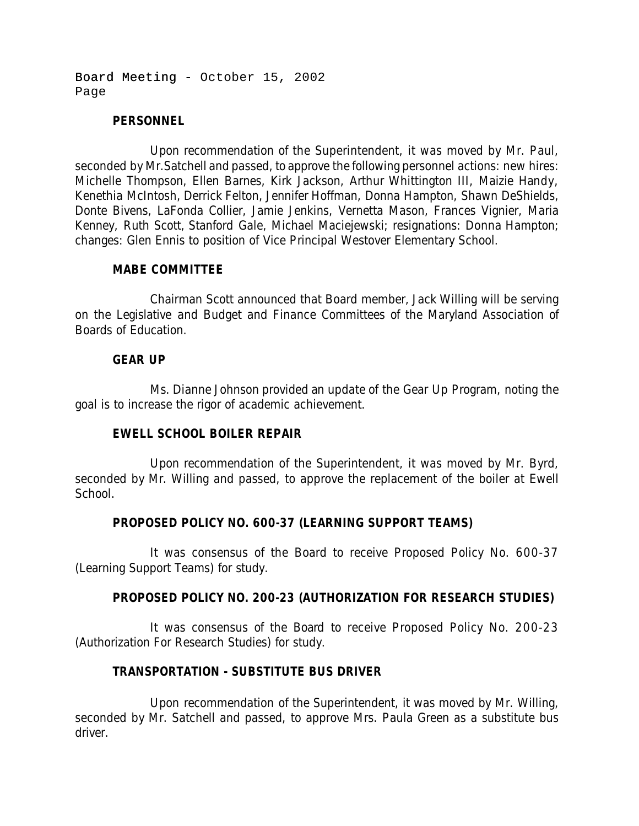Board Meeting - October 15, 2002 Page

### **PERSONNEL**

Upon recommendation of the Superintendent, it was moved by Mr. Paul, seconded by Mr.Satchell and passed, to approve the following personnel actions: new hires: Michelle Thompson, Ellen Barnes, Kirk Jackson, Arthur Whittington III, Maizie Handy, Kenethia McIntosh, Derrick Felton, Jennifer Hoffman, Donna Hampton, Shawn DeShields, Donte Bivens, LaFonda Collier, Jamie Jenkins, Vernetta Mason, Frances Vignier, Maria Kenney, Ruth Scott, Stanford Gale, Michael Maciejewski; resignations: Donna Hampton; changes: Glen Ennis to position of Vice Principal Westover Elementary School.

#### **MABE COMMITTEE**

Chairman Scott announced that Board member, Jack Willing will be serving on the Legislative and Budget and Finance Committees of the Maryland Association of Boards of Education.

#### **GEAR UP**

Ms. Dianne Johnson provided an update of the Gear Up Program, noting the goal is to increase the rigor of academic achievement.

### **EWELL SCHOOL BOILER REPAIR**

Upon recommendation of the Superintendent, it was moved by Mr. Byrd, seconded by Mr. Willing and passed, to approve the replacement of the boiler at Ewell School.

### **PROPOSED POLICY NO. 600-37 (LEARNING SUPPORT TEAMS)**

It was consensus of the Board to receive Proposed Policy No. 600-37 (Learning Support Teams) for study.

### **PROPOSED POLICY NO. 200-23 (AUTHORIZATION FOR RESEARCH STUDIES)**

It was consensus of the Board to receive Proposed Policy No. 200-23 (Authorization For Research Studies) for study.

### **TRANSPORTATION - SUBSTITUTE BUS DRIVER**

Upon recommendation of the Superintendent, it was moved by Mr. Willing, seconded by Mr. Satchell and passed, to approve Mrs. Paula Green as a substitute bus driver.